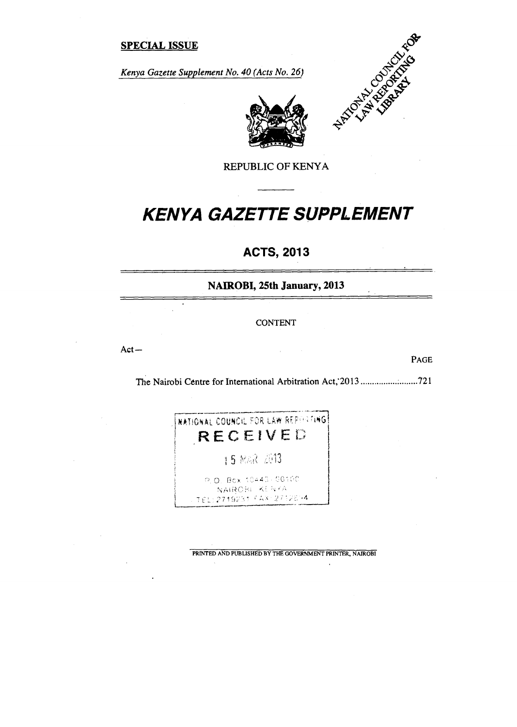# **SPECIAL ISSUE**

*Kenya Gazette Supplement No. 40 (Acts No. 26)* 





REPUBLIC OF KENYA

# *KENYA GAZETTE SUPPLEMENT*

# **ACTS, 2013**

**NAIROBI, 25th January, 2013** 

CONTENT

 $\bar{z}$ 

Act—

 $\ddot{\phantom{1}}$ 

PAGE

The Nairobi Centre for International Arbitration Act;2013 721



PRINTED AND PUBLISHED BY THE GOVERNMENT PRINTER, NAIROBI

 $\ddot{\phantom{a}}$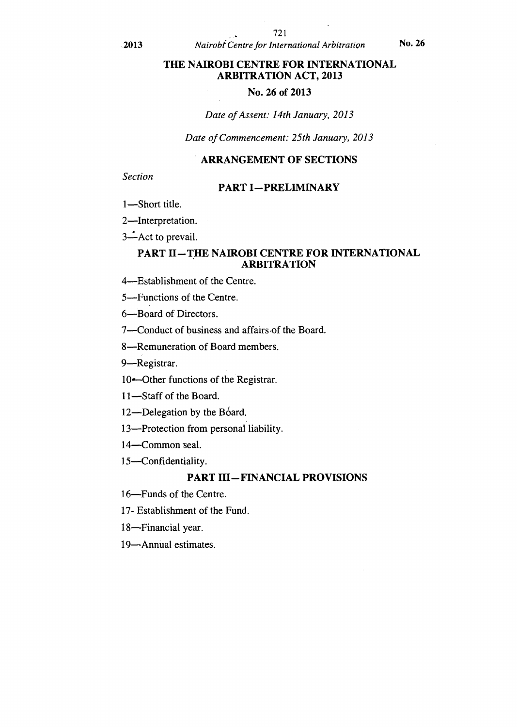# **THE NAIROBI CENTRE FOR INTERNATIONAL ARBITRATION ACT, 2013**

# **No. 26 of 2013**

#### *Date of Assent: 14th January, 2013*

# *Date of Commencement: 25th January, 2013*

# **ARRANGEMENT OF SECTIONS**

*Section* 

#### **PART I—PRELIMINARY**

1—Short title.

2—Interpretation.

3-Act to prevail.

# **PART II—THE NAIROBI CENTRE FOR INTERNATIONAL ARBITRATION**

4—Establishment of the Centre.

5—Functions of the Centre.

6—Board of Directors.

7—Conduct of business and affairs-of the Board.

8—Remuneration of Board members.

9—Registrar.

10-Other functions of the Registrar.

11—Staff of the Board.

12—Delegation by the Board.

13—Protection from personal liability.

14—Common seal.

15—Confidentiality.

#### **PART HI—FINANCIAL PROVISIONS**

16—Funds of the Centre.

17- Establishment of the Fund.

18—Financial year.

19—Annual estimates.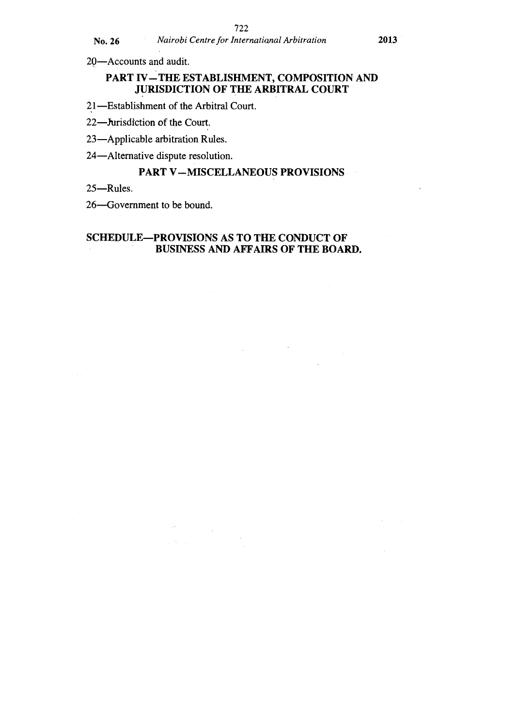20—Accounts and audit.

# **PART IV—THE ESTABLISHMENT, COMPOSITION AND JURISDICTION OF THE ARBITRAL COURT**

21—Establishment of the Arbitral Court.

22—Jurisdiction of the Court.

23—Applicable arbitration Rules.

24—Alternative dispute resolution.

# **PART V—MISCELLANEOUS PROVISIONS**

25—Rules.

26—Government to be bound.

# **SCHEDULE—PROVISIONS AS TO THE CONDUCT OF BUSINESS AND AFFAIRS OF THE BOARD.**

 $\label{eq:2} \frac{1}{\sqrt{2}}\sum_{i=1}^n\frac{1}{\sqrt{2}}\sum_{j=1}^n\frac{1}{j!}\sum_{j=1}^n\frac{1}{j!}\sum_{j=1}^n\frac{1}{j!}\sum_{j=1}^n\frac{1}{j!}\sum_{j=1}^n\frac{1}{j!}\sum_{j=1}^n\frac{1}{j!}\sum_{j=1}^n\frac{1}{j!}\sum_{j=1}^n\frac{1}{j!}\sum_{j=1}^n\frac{1}{j!}\sum_{j=1}^n\frac{1}{j!}\sum_{j=1}^n\frac{1}{j!}\sum_{j=1}^$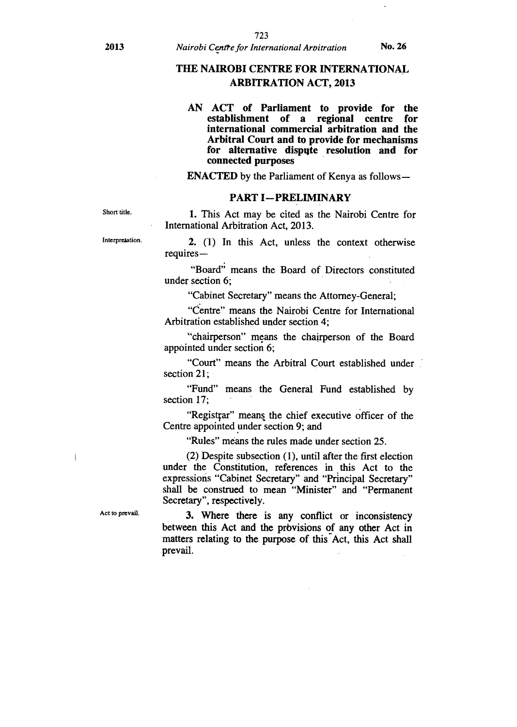# **THE NAIROBI CENTRE FOR INTERNATIONAL ARBITRATION ACT, 2013**

#### **AN ACT of Parliament to provide for the establishment of a regional centre for international commercial arbitration and the Arbitral Court and to provide for mechanisms for alternative dispute resolution and for connected purposes**

**ENACTED** by the Parliament of Kenya as follows—

#### **PART I—PRELIMINARY**

Short title. **1.** This Act may be cited as the Nairobi Centre for International Arbitration Act, 2013.

Interpretation. **2.** (1) In this Act, unless the context otherwise requires—

> "Board" means the Board of Directors constituted under section 6;

"Cabinet Secretary" means the Attorney-General;

"Centre" means the Nairobi Centre for International Arbitration established under section 4;

"chairperson" means the chairperson of the Board appointed under section 6;

"Court" means the Arbitral Court established under section 21;

"Fund" means the General Fund established by section 17;

"Registfar" means the chief executive officer of the Centre appointed under section 9; and

"Rules" means the rules made under section 25.

(2) Despite subsection (1), until after the first election under the Constitution, references in this Act to the expressions "Cabinet Secretary" and "Principal Secretary" shall be construed to mean "Minister" and "Permanent Secretary", respectively.

Act to prevail. **3.** Where there is any conflict or inconsistency between this Act and the prbvisions of any other Act in matters relating to the purpose of this Act, this Act shall prevail.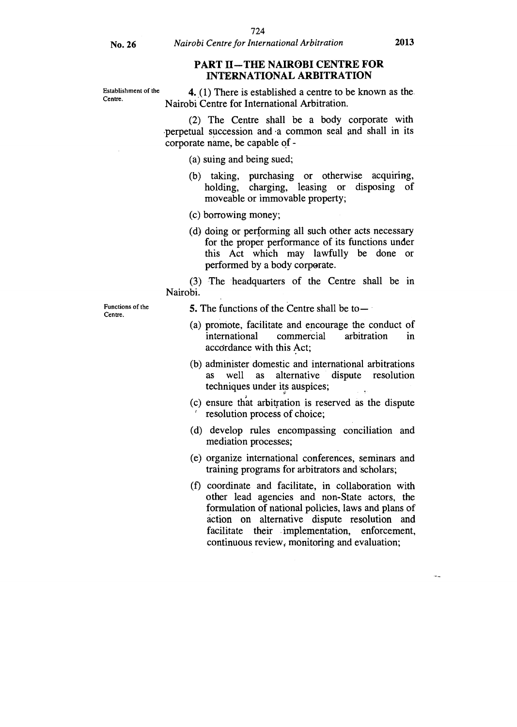#### **PART II—THE NAIROBI CENTRE FOR INTERNATIONAL ARBITRATION**

Establishment of the  $\frac{4}{100}$ . There is established a centre to be known as the. Nairobi Centre for International Arbitration.

> (2) The Centre shall be a body corporate with perpetual succession and .a common seal and shall in its corporate name, be capable of -

(a) suing and being sued;

- (b) taking, purchasing or otherwise acquiring, holding, charging, leasing or disposing of moveable or immovable property;
- (c) borrowing money;
- (d) doing or performing all such other acts necessary for the proper performance of its functions under this Act which may lawfully be done or performed by a body corporate.

(3) The 'headquarters of the Centre shall be in Nairobi.

Functions of the Centre.

**5.** The functions of the Centre shall be to—

- (a) promote, facilitate and encourage the conduct of international commercial arbitration in accordance with this Act;
- (b) administer domestic and international arbitrations as well as alternative dispute resolution techniques under its auspices;
- (c) ensure that arbitration is reserved as the dispute resolution process of choice;
- (d) develop rules encompassing conciliation and mediation processes;
- (e) organize international conferences, seminars and training programs for arbitrators and scholars;
- (f) coordinate and facilitate, in collaboration with other lead agencies and non-State actors, the formulation of national policies, laws and plans of action on alternative dispute resolution and facilitate their implementation, enforcement, continuous review, monitoring and evaluation;

 $\ddotsc$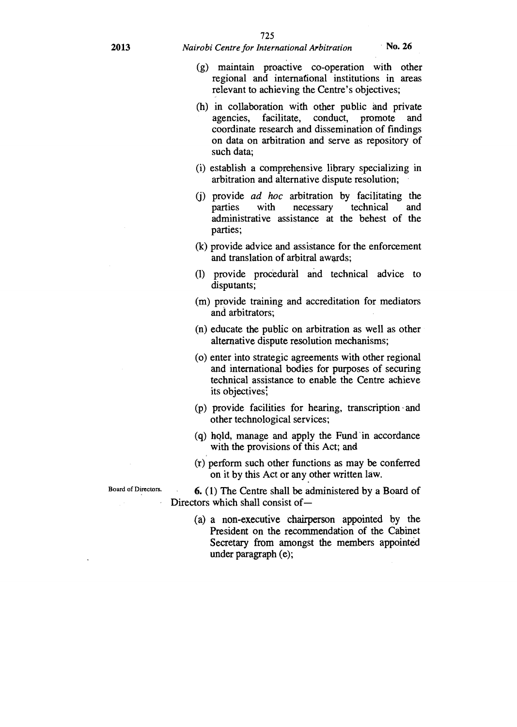#### **2013** *Nairobi Centre for International Arbitration* **No. 26**

- (g) maintain proactive co-operation with other regional and international institutions in areas relevant to achieving the Centre's objectives;
- (h) in collaboration with other public and private agencies, facilitate, conduct, promote and coordinate research and dissemination of findings on data on arbitration and serve as repository of such data;
- (i) establish a comprehensive library specializing in arbitration and alternative dispute resolution;
- (j) provide *ad hoc* arbitration by facilitating the parties with necessary technical and administrative assistance at the behest of the parties;
- (k) provide advice and assistance for the enforcement and translation of arbitral awards;
- (1) provide procedural and technical advice to disputants;
- (m) provide training and accreditation for mediators and arbitrators;
- (n) educate the public on arbitration as well as other alternative dispute resolution mechanisms;
- (o) enter into strategic agreements with other regional and international bodies for purposes of securing technical assistance to enable the Centre achieve its objectives:
- (p) provide facilities for hearing, transcription and other technological services;
- (q) Ipld, manage and apply the Fund In accordance with the provisions of this Act; and
- (r) perform such other functions as may be conferred on it by this Act or any other written law.

**6. (1)** The Centre shall be administered by a Board of Directors which shall consist of-

(a) a non-executive chairperson appointed by the President on the recommendation of the Cabinet Secretary from amongst the members appointed under paragraph (e);

Board of Directors.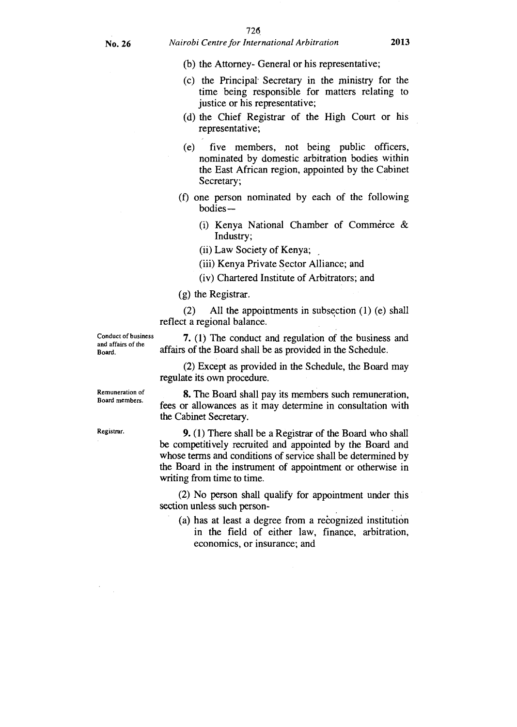# **No. 26** *Nairobi Centre for International Arbitration* **2013**

- (b) the Attorney- General or his representative;
- (c) the Principal-Secretary in the ministry for the time being responsible for matters relating to justice or his representative;
- (d) the Chief Registrar of the High Court or his representative;
- (e) five members, not being public officers, nominated by domestic arbitration bodies within the East African region, appointed by the Cabinet Secretary;
- (f) one person nominated by each of the following bodies —
	- (i) Kenya National Chamber of Commerce & Industry;
	- (ii) Law Society of Kenya;
	- (iii) Kenya Private Sector Alliance; and
	- (iv) Chartered Institute of Arbitrators; and
- (g) the Registrar.

(2) All the appointments in subsection (1) (e) shall reflect a regional balance.

Conduct of business and affairs of the Board.

**7. (1)** The conduct and regulation of the business and affairs of the Board shall be as provided in the Schedule.

(2) Except as provided in the Schedule, the Board may regulate its own procedure.

Remuneration of Board members.

Registrar.

8. The Board shall pay its members such remuneration, fees or allowances as it may determine in consultation with the Cabinet Secretary.

9. (1) There shall be a Registrar of the Board who shall be competitively recruited and appointed by the Board and whose terms and conditions of service shall be determined by the Board in the instrument of appointment or otherwise in writing from time to time.

(2) No person shall qualify for appointment under this section unless such person-

(a) has at least a degree from a recognized institution in the field of either law, finance, arbitration, economics, or insurance; and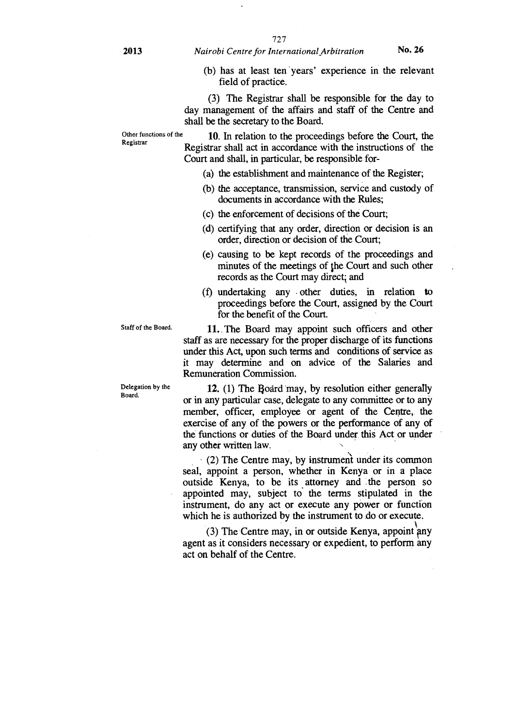(b) has at least ten 'years' experience in the relevant field of practice.

(3) The Registrar shall be responsible for the day to day management of the affairs and staff of the Centre and shall be the secretary to the Board.

Other functions of the 10. In relation to the proceedings before the Court, the Registrar Registrar shall act in accordance with the instructions of the Court and shall, in particular, be responsible for-

- (a) the establishment and maintenance of the Register;
- (b) the acceptance, transmission, service and custody of documents in accordance with the Rules;
- (c) the enforcement of decisions of the Court;
- (d) certifying that any order, direction or decision is an order, direction or decision of the Court;
- (e) causing to be kept records of the proceedings and minutes of the meetings of the Court and such other records as the Court may direct; and
- (f) undertaking any . other duties, in relation to proceedings before the Court, assigned by the Court for the benefit of the Court.

11. The Board may appoint such officers and other staff as are necessary for the proper discharge of its functions under this Act, upon such terms and conditions of service as it may determine and on advice of the Salaries and Remuneration Commission.

12. (1) The Board may, by resolution either generally or in any particular case, delegate to any committee or to any member, officer, employee or agent of the Centre, the exercise of any of the powers or the performance of any of the functions or duties of the Board under this Act or under any other written law.

(2) The Centre may, by instrument under its common seal, appoint a person, whether in Kenya or in a place outside Kenya, to be its attorney and the person so appointed may, subject to the terms stipulated in the instrument, do any act or execute any power or function which he is authorized by the instrument to do or execute.

(3) The Centre may, in or outside Kenya, appoint any agent as it considers necessary or expedient, to perform any act on behalf of the Centre.

Staff of the Board.

Delegation by the Board.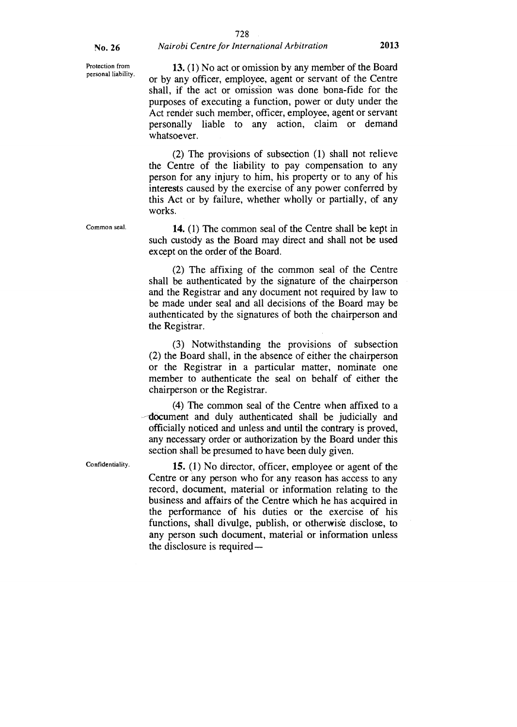#### 728

Protection from personal liability.

Common seal.

13. (1) No act or omission by any member of the Board or by any officer, employee, agent or servant of the Centre shall, if the act or omission was done bona-fide for the purposes of executing a function, power or duty under the Act render such member, officer, employee, agent or servant personally liable to any action, claim or demand whatsoever.

(2) The provisions of subsection (1) shall not relieve the Centre of the liability to pay compensation to any person for any injury to him, his property or to any of his interests caused by the exercise of any power conferred by this Act or by failure, whether wholly or partially, of any works.

14. (1) The common seal of the Centre shall be kept in such custody as the Board may direct and shall not be used except on the order of the Board.

(2) The affixing of the common seal of the Centre shall be authenticated by the signature of the chairperson and the Registrar and any document not required by law to be made under seal and all decisions of the Board may be authenticated by the signatures of both the chairperson and the Registrar.

(3) Notwithstanding the provisions of subsection (2) the Board shall, in the absence of either the chairperson or the Registrar in a particular matter, nominate one member to authenticate the seal on behalf of either the chairperson or the Registrar.

(4) The common seal of the Centre when affixed to a document and duly authenticated shall be judicially and officially noticed and unless and until the contrary is proved, any necessary order or authorization by the Board under this section shall be presumed to have been duly given.

Confidentiality.

15. (1) No director, officer, employee or agent of the Centre or any person who for any reason has access to any record, document, material or information relating to the business and affairs of the Centre which he has acquired in the performance of his duties or the exercise of his functions, shall divulge, publish, or otherwise disclose, to any person such document, material or information unless the disclosure is required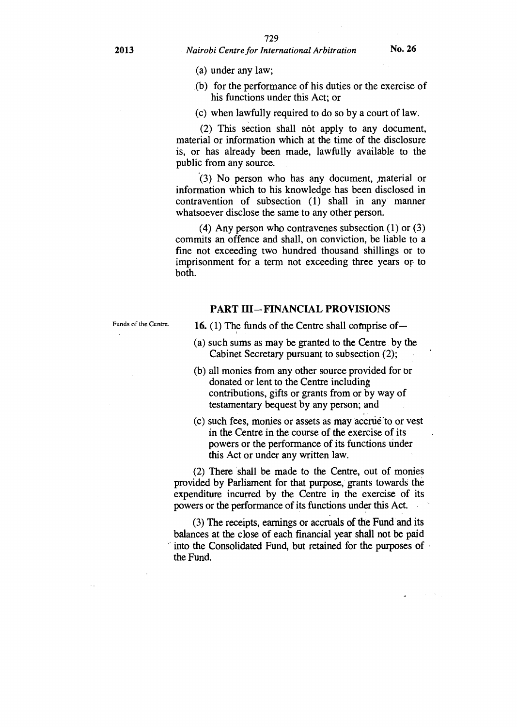(a) under any law;

- (b) for the performance of his duties or the exercise of his functions under this Act; or
- (c) when lawfully required to do so by a court of law.

(2) This section shall not apply to any document, material or information which at the time of the disclosure is, or has already been made, lawfully available to the public from any source.

 $(3)$  No person who has any document, material or information which to his knowledge has been disclosed in contravention of subsection (1) shall in any manner whatsoever disclose the same to any other person.

(4) Any person who contravenes subsection (1) or (3) commits an offence and shall, on conviction, be liable to a fine not exceeding two hundred thousand shillings or to imprisonment for a term not exceeding three years or. to both.

#### PART III—FINANCIAL PROVISIONS

Funds of the Centre.

16. (1) The funds of the Centre shall comprise of—

- (a) such sums as may be granted to the Centre by the Cabinet Secretary pursuant to subsection (2);
- (b) all monies from any other source provided for or donated or lent to the Centre including contributions, gifts or grants from or by way of testamentary bequest by any person; and
- (c) such fees, monies or assets as may accrue to or vest in the Centre in the course of the exercise of its powers or the performance of its functions under this Act or under any written law.

(2) There shall be made to the Centre, out of monies provided by Parliament for that purpose, grants towards the expenditure incurred by the Centre in the exercise of its powers or the performance of its functions under this Act.

(3) The receipts, earnings or accruals of the Fund and its balances at the close of each financial year shall not be paid into the Consolidated Fund, but retained for the purposes of the Fund.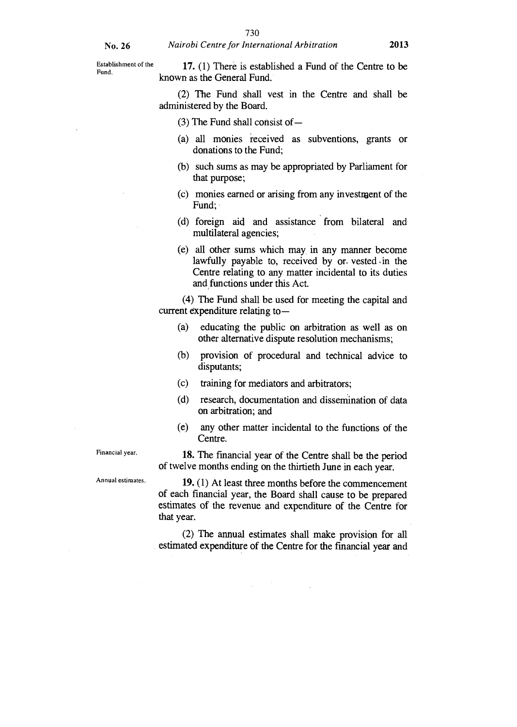Establishment of the **17.** (1) There is established a Fund of the Centre to be Fund. known as the General Fund.

> (2) The Fund shall vest in the Centre and shall be administered by the Board.

#### (3) The Fund shall consist of —

- (a) all monies received as subventions, grants or donations to the Fund;
- (b) such sums as may be appropriated by Parliament for that purpose;
- (c) monies earned or arising from any investment of the Fund;
- (d) foreign aid and assistance from bilateral and multilateral agencies;
- (e) all other sums which may, in any manner become lawfully payable to, received by or. vested in the Centre relating to any matter incidental to its duties and functions under this Act.

(4) The Fund shall be used for meeting the capital and current expenditure relating to —

- (a) educating the public on arbitration as well as on other alternative dispute resolution mechanisms;
- (b) provision of procedural and technical advice to disputants;
- (c) training for mediators and arbitrators;
- (d) research, documentation and dissemination of data on arbitration; and
- (e) any other matter incidental to the functions of the Centre.

18. The financial year of the Centre shall be the period of twelve months ending on the thirtieth June in each year.

19. (1) At least three months before the commencement of each financial year, the Board shall cause to be prepared estimates of the revenue and expenditure of the Centre for that year.

(2) The annual estimates shall make provision for all estimated expenditure of the Centre for the financial year and

Financial year.

Annual estimates.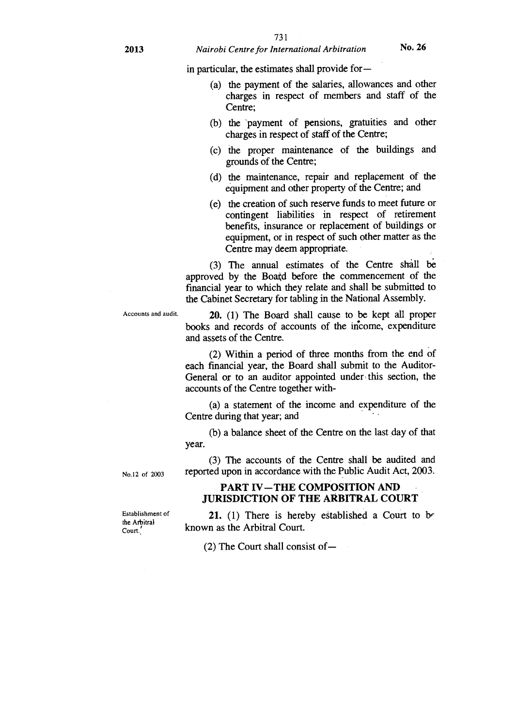in particular, the estimates shall provide for —

- (a) the payment of the salaries, allowances and other charges in respect of members and staff of the Centre;
- (b) the payment of pensions, gratuities and other charges in respect of staff of the Centre;
- (c) the proper maintenance of the buildings and grounds of the Centre;
- (d) the maintenance, repair and replacement of the equipment and other property of the Centre; and
- (e) the creation of such reserve funds to meet future or contingent liabilities in respect of retirement benefits, insurance or replacement of buildings or equipment, or in respect of such other matter as the Centre may deem appropriate.

(3) The annual estimates of the Centre shall be approved by the Boatd before the commencement of the financial year to which they relate and shall be submitted to the Cabinet Secretary for tabling in the National Assembly.

Accounts and audit. **20.** (1) The Board shall cause to be kept all proper books and records of accounts of the income, expenditure

and assets of the Centre.

(2) Within a period of three months from the end of each financial year, the Board shall submit to the Auditor-General or to an auditor appointed under this section, the accounts of the Centre together with-

(a) a statement of the income and expenditure of the Centre during that year; and

(b) a balance sheet of the Centre on the last day of that year.

(3) The accounts of the Centre shall be audited and reported upon in accordance with the Public Audit Act, 2003.

# **PART IV—THE COMPOSITION AND JURISDICTION OF THE ARBITRAL COURT**

**21.** (1) There is hereby established a Court to be known as the Arbitral Court.

(2) The Court shall consist of—

No.12 of 2003

Establishment of the Arbitral Court.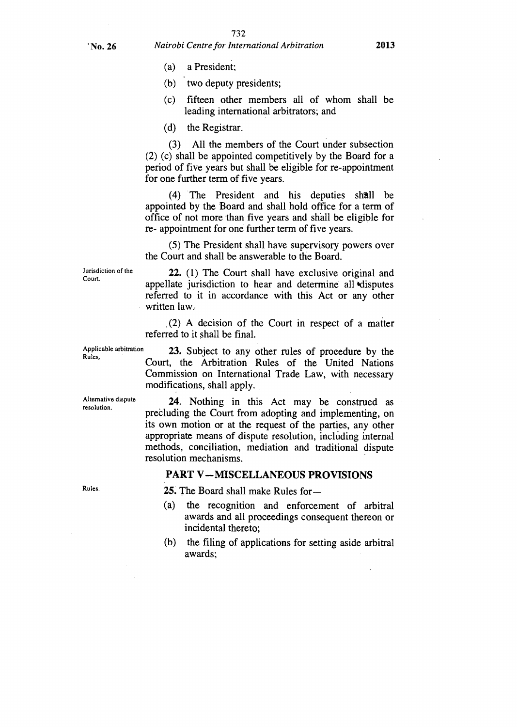- (a) a President;
- (b) two deputy presidents;
- (c) fifteen other members all of whom shall be leading international arbitrators; and

(d) the Registrar.

(3) All the members of the Court under subsection (2) (c) shall be appointed competitively by the Board for a period of five years but shall be eligible for re-appointment for one further term of five years.

 $(4)$  The President and his deputies shall be appointed by the Board and shall hold office for a term of office of not more than five years and shall be eligible for re- appointment for one further term of five years.

(5) The President shall have supervisory powers over the Court and shall be answerable to the Board.

Jurisdiction of the Court.

**22.** (1) The Court shall have exclusive original and appellate jurisdiction to hear and determine all 'disputes referred to it in accordance with this Act or any other written law.

(2) A decision of the Court in respect of a matter referred to it shall be final.

Applicable arbitration **23.** Subject to any other rules of procedure by the Rules.<br>Court, the Arbitration Rules of the United Nations Commission on International Trade Law, with necessary modifications, shall apply.

Alternative dispute resolution.

**24.** Nothing in this Act may be construed as precluding the Court from adopting and implementing, on its own motion or at the request of the parties, any other appropriate means of dispute resolution, including internal methods, conciliation, mediation and traditional dispute resolution mechanisms.

#### **PART V —MISCELLANEOUS PROVISIONS**

Rules.

**25.** The Board shall make Rules for —

- (a) the recognition and enforcement of arbitral awards and all proceedings consequent thereon or incidental thereto;
- (b) the filing of applications for setting aside arbitral awards;

**' No. 26** *Nairobi Centre for International Arbitration* **2013**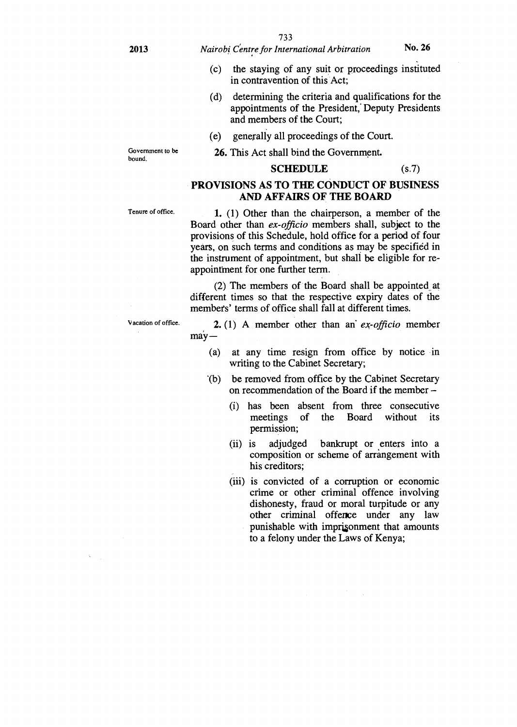- (c) the staying of any suit or proceedings instituted in contravention of this Act;
- (d) determining the criteria and qualifications for the appointments of the President, Deputy Presidents and members of the Court;

**SCHEDULE** (s.7)

- (e) generally all proceedings of the Court.
- **26.** This Act shall bind the Government.

Government to be bound.

Tenure of office.

Board other than *ex-officio* members shall, subject to the provisions of this Schedule, hold office for a period of four years, on such terms and conditions as may be specified in the instrument of appointment, but shall be eligible for reappointment for one further term.

**PROVISIONS AS TO THE CONDUCT OF BUSINESS AND AFFAIRS OF THE BOARD** 

1. (1) Other than the chairperson, a member of the

(2) The members of the Board shall be appointed\_ at different times so that the respective expiry dates of the members' terms of office shall fall at different times.

2. (1) A member other than an' *ex-officio* member  $\text{may}$ —

- (a) at any time resign from office by notice in writing to the Cabinet Secretary;
- '(b) be removed from office by the Cabinet Secretary on recommendation of the Board if the member –
	- has been absent from three consecutive (i) meetings of the Board without its permission;
	- (ii) is adjudged bankrupt or enters into a composition or scheme of arrangement with his creditors;
	- (iii) is convicted of a corruption or economic crime or other criminal offence involving dishonesty, fraud or moral turpitude or any other criminal offence under any law punishable with impri§onment that amounts to a felony under the Laws of Kenya;

V acation of office.

 $\sim$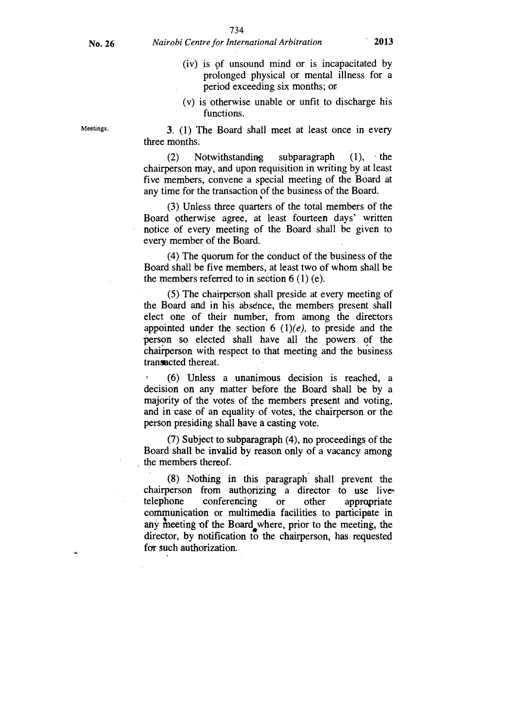- (iv) is of unsound mind or is incapacitated by prolonged physical or mental illness for a period exceeding six months; or
- (v) is otherwise unable or unfit to discharge his functions.

3. (1) The Board shall meet at least once in every three months.

 $(2)$  Notwithstanding subparagraph  $(1)$ , the chairperson may, and upon requisition in writing by at least five members, convene a special meeting of the Board at any time for the transaction of the business of the Board.

(3) Unless three quarters of the total members of the Board otherwise agree, at least fourteen days' written notice of every meeting of the Board shall be given to every member of the Board.

(4) The quorum for the conduct of the business of the Board shall be five members, at least two of whom shall be the members referred to in section  $6(1)(e)$ .

(5) The chairperson shall preside at every meeting of the Board and in his absence, the members present shall elect one of their number, from among the directors appointed under the section 6  $(1)(e)$ , to preside and the person so elected shall have all the powers of the chairperson with respect to that meeting and the business transacted thereat.

= (6) Unless a unanimous decision is reached, a decision on any matter before the Board shall be by a majority of the votes of the members present and voting, and in case of an equality of votes, the chairperson or the person presiding shall have a casting vote.

(7) Subject to subparagraph (4), no proceedings of the Board shall be invalid by reason only of a vacancy among the members thereof.

(8) Nothing in this paragraph shall prevent the chairperson from authorizing a director to use live-<br>telephone conferencing or other appropriate conferencing or other appropriate communication or multimedia facilities to participate in any meeting of the Board where, prior to the meeting, the director, by notification to the chairperson, has requested for such authorization.